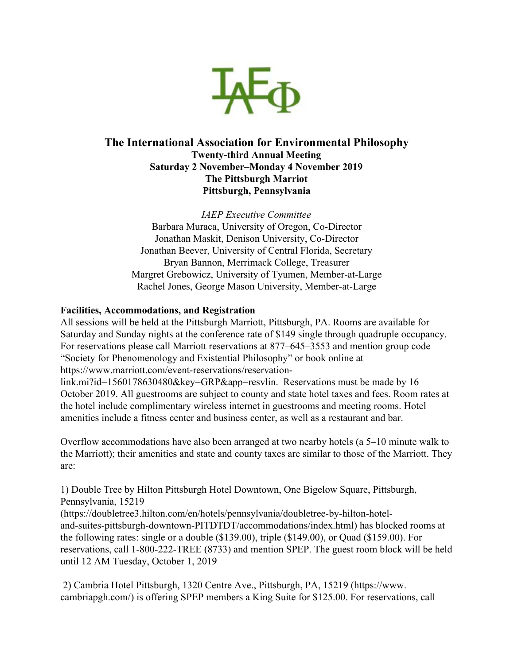

## **The International Association for Environmental Philosophy Twenty-third Annual Meeting Saturday 2 November–Monday 4 November 2019 The Pittsburgh Marriot Pittsburgh, Pennsylvania**

*IAEP Executive Committee* Barbara Muraca, University of Oregon, Co-Director Jonathan Maskit, Denison University, Co-Director Jonathan Beever, University of Central Florida, Secretary Bryan Bannon, Merrimack College, Treasurer Margret Grebowicz, University of Tyumen, Member-at-Large Rachel Jones, George Mason University, Member-at-Large

## **Facilities, Accommodations, and Registration**

All sessions will be held at the Pittsburgh Marriott, Pittsburgh, PA. Rooms are available for Saturday and Sunday nights at the conference rate of \$149 single through quadruple occupancy. For reservations please call Marriott reservations at 877–645–3553 and mention group code "Society for Phenomenology and Existential Philosophy" or book online at https://www.marriott.com/event-reservations/reservation-

link.mi?id=1560178630480&key=GRP&app=resvlin. Reservations must be made by 16 October 2019. All guestrooms are subject to county and state hotel taxes and fees. Room rates at the hotel include complimentary wireless internet in guestrooms and meeting rooms. Hotel amenities include a fitness center and business center, as well as a restaurant and bar.

Overflow accommodations have also been arranged at two nearby hotels (a 5–10 minute walk to the Marriott); their amenities and state and county taxes are similar to those of the Marriott. They are:

1) Double Tree by Hilton Pittsburgh Hotel Downtown, One Bigelow Square, Pittsburgh, Pennsylvania, 15219

(https://doubletree3.hilton.com/en/hotels/pennsylvania/doubletree-by-hilton-hoteland-suites-pittsburgh-downtown-PITDTDT/accommodations/index.html) has blocked rooms at the following rates: single or a double (\$139.00), triple (\$149.00), or Quad (\$159.00). For reservations, call 1-800-222-TREE (8733) and mention SPEP. The guest room block will be held until 12 AM Tuesday, October 1, 2019

 2) Cambria Hotel Pittsburgh, 1320 Centre Ave., Pittsburgh, PA, 15219 (https://www. cambriapgh.com/) is offering SPEP members a King Suite for \$125.00. For reservations, call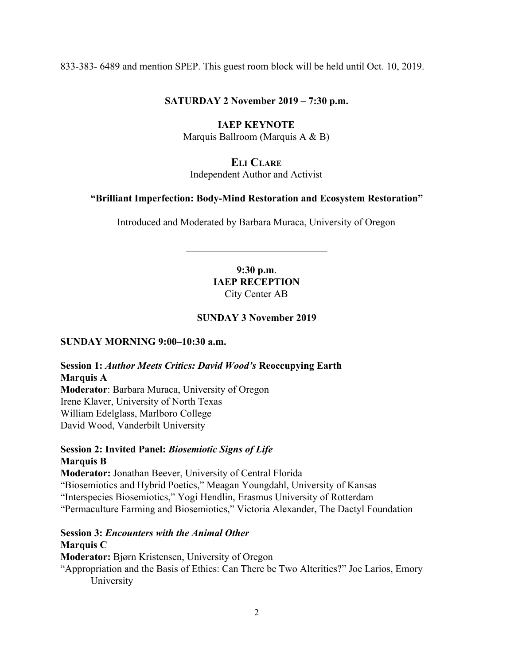833-383- 6489 and mention SPEP. This guest room block will be held until Oct. 10, 2019.

### **SATURDAY 2 November 2019** – **7:30 p.m.**

## **IAEP KEYNOTE**

Marquis Ballroom (Marquis A & B)

## **ELI CLARE**

Independent Author and Activist

### **"Brilliant Imperfection: Body-Mind Restoration and Ecosystem Restoration"**

Introduced and Moderated by Barbara Muraca, University of Oregon

 $\mathcal{L}_\text{max}$  , where  $\mathcal{L}_\text{max}$  , we have the set of  $\mathcal{L}_\text{max}$ 

### **9:30 p.m**. **IAEP RECEPTION** City Center AB

## **SUNDAY 3 November 2019**

### **SUNDAY MORNING 9:00–10:30 a.m.**

## **Session 1:** *Author Meets Critics: David Wood's* **Reoccupying Earth Marquis A Moderator**: Barbara Muraca, University of Oregon Irene Klaver, University of North Texas

William Edelglass, Marlboro College David Wood, Vanderbilt University

### **Session 2: Invited Panel:** *Biosemiotic Signs of Life* **Marquis B**

**Moderator:** Jonathan Beever, University of Central Florida

"Biosemiotics and Hybrid Poetics," Meagan Youngdahl, University of Kansas

"Interspecies Biosemiotics," Yogi Hendlin, Erasmus University of Rotterdam

"Permaculture Farming and Biosemiotics," Victoria Alexander, The Dactyl Foundation

## **Session 3:** *Encounters with the Animal Other* **Marquis C**

**Moderator:** Bjørn Kristensen, University of Oregon

"Appropriation and the Basis of Ethics: Can There be Two Alterities?" Joe Larios, Emory University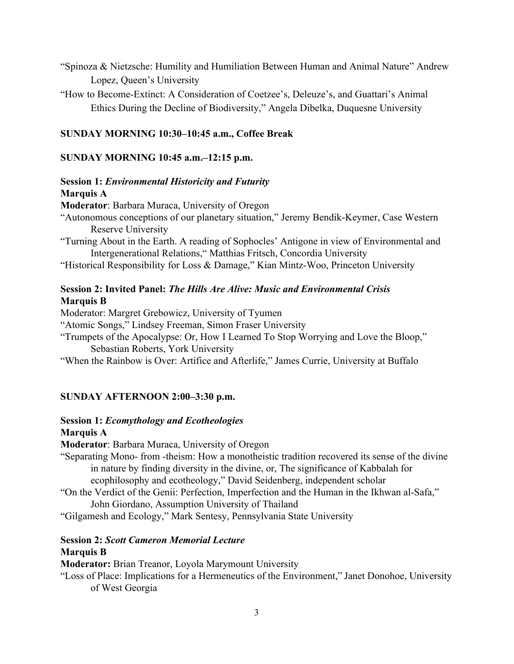- "Spinoza & Nietzsche: Humility and Humiliation Between Human and Animal Nature" Andrew Lopez, Queen's University
- "How to Become-Extinct: A Consideration of Coetzee's, Deleuze's, and Guattari's Animal Ethics During the Decline of Biodiversity," Angela Dibelka, Duquesne University

### **SUNDAY MORNING 10:30–10:45 a.m., Coffee Break**

#### **SUNDAY MORNING 10:45 a.m.–12:15 p.m.**

### **Session 1:** *Environmental Historicity and Futurity* **Marquis A**

**Moderator**: Barbara Muraca, University of Oregon

- "Autonomous conceptions of our planetary situation," Jeremy Bendik-Keymer, Case Western Reserve University
- "Turning About in the Earth. A reading of Sophocles' Antigone in view of Environmental and Intergenerational Relations," Matthias Fritsch, Concordia University

"Historical Responsibility for Loss & Damage," Kian Mintz-Woo, Princeton University

### **Session 2: Invited Panel:** *The Hills Are Alive: Music and Environmental Crisis* **Marquis B**

Moderator: Margret Grebowicz, University of Tyumen

"Atomic Songs," Lindsey Freeman, Simon Fraser University

"Trumpets of the Apocalypse: Or, How I Learned To Stop Worrying and Love the Bloop," Sebastian Roberts, York University

"When the Rainbow is Over: Artifice and Afterlife," James Currie, University at Buffalo

#### **SUNDAY AFTERNOON 2:00–3:30 p.m.**

#### **Session 1:** *Ecomythology and Ecotheologies* **Marquis A**

**Moderator**: Barbara Muraca, University of Oregon

- "Separating Mono- from -theism: How a monotheistic tradition recovered its sense of the divine in nature by finding diversity in the divine, or, The significance of Kabbalah for ecophilosophy and ecotheology," David Seidenberg, independent scholar
- "On the Verdict of the Genii: Perfection, Imperfection and the Human in the Ikhwan al-Safa," John Giordano, Assumption University of Thailand

"Gilgamesh and Ecology," Mark Sentesy, Pennsylvania State University

# **Session 2:** *Scott Cameron Memorial Lecture*

## **Marquis B**

**Moderator:** Brian Treanor, Loyola Marymount University

"Loss of Place: Implications for a Hermeneutics of the Environment," Janet Donohoe, University of West Georgia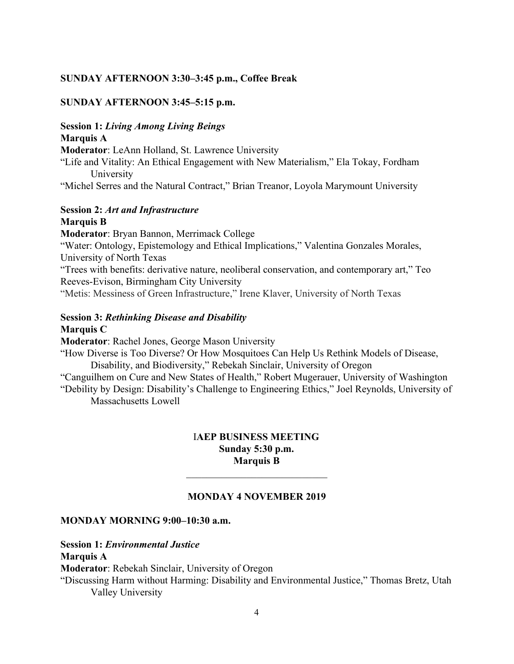### **SUNDAY AFTERNOON 3:30–3:45 p.m., Coffee Break**

### **SUNDAY AFTERNOON 3:45–5:15 p.m.**

## **Session 1:** *Living Among Living Beings* **Marquis A**

**Moderator**: LeAnn Holland, St. Lawrence University

"Life and Vitality: An Ethical Engagement with New Materialism," Ela Tokay, Fordham University

"Michel Serres and the Natural Contract," Brian Treanor, Loyola Marymount University

# **Session 2:** *Art and Infrastructure*

## **Marquis B**

**Moderator**: Bryan Bannon, Merrimack College "Water: Ontology, Epistemology and Ethical Implications," Valentina Gonzales Morales, University of North Texas "Trees with benefits: derivative nature, neoliberal conservation, and contemporary art," Teo Reeves-Evison, Birmingham City University "Metis: Messiness of Green Infrastructure," Irene Klaver, University of North Texas

## **Session 3:** *Rethinking Disease and Disability*

## **Marquis C**

**Moderator**: Rachel Jones, George Mason University

"How Diverse is Too Diverse? Or How Mosquitoes Can Help Us Rethink Models of Disease, Disability, and Biodiversity," Rebekah Sinclair, University of Oregon

"Canguilhem on Cure and New States of Health," Robert Mugerauer, University of Washington

"Debility by Design: Disability's Challenge to Engineering Ethics," Joel Reynolds, University of Massachusetts Lowell

### I**AEP BUSINESS MEETING Sunday 5:30 p.m. Marquis B**

### **MONDAY 4 NOVEMBER 2019**

 $\mathcal{L}_\text{max}$  , where  $\mathcal{L}_\text{max}$  , we have the set of  $\mathcal{L}_\text{max}$ 

#### **MONDAY MORNING 9:00–10:30 a.m.**

### **Session 1:** *Environmental Justice*

### **Marquis A**

**Moderator**: Rebekah Sinclair, University of Oregon

"Discussing Harm without Harming: Disability and Environmental Justice," Thomas Bretz, Utah Valley University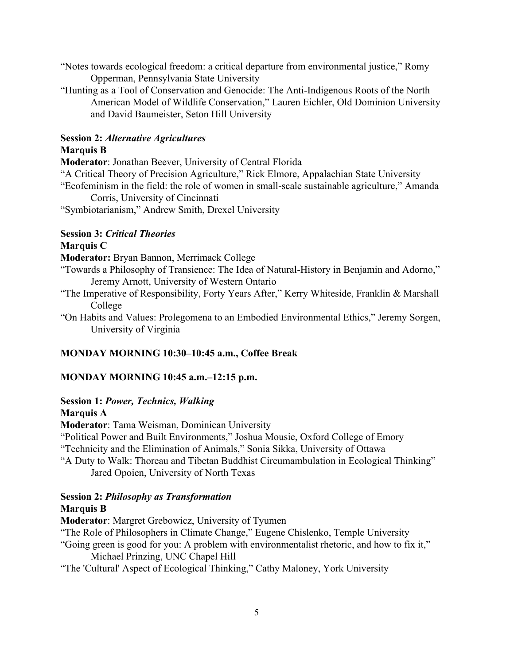"Notes towards ecological freedom: a critical departure from environmental justice," Romy Opperman, Pennsylvania State University

"Hunting as a Tool of Conservation and Genocide: The Anti-Indigenous Roots of the North American Model of Wildlife Conservation," Lauren Eichler, Old Dominion University and David Baumeister, Seton Hill University

## **Session 2:** *Alternative Agricultures* **Marquis B**

**Moderator**: Jonathan Beever, University of Central Florida

"A Critical Theory of Precision Agriculture," Rick Elmore, Appalachian State University "Ecofeminism in the field: the role of women in small-scale sustainable agriculture," Amanda

Corris, University of Cincinnati

"Symbiotarianism," Andrew Smith, Drexel University

# **Session 3:** *Critical Theories*

## **Marquis C**

**Moderator:** Bryan Bannon, Merrimack College

- "Towards a Philosophy of Transience: The Idea of Natural-History in Benjamin and Adorno," Jeremy Arnott, University of Western Ontario
- "The Imperative of Responsibility, Forty Years After," Kerry Whiteside, Franklin & Marshall College
- "On Habits and Values: Prolegomena to an Embodied Environmental Ethics," Jeremy Sorgen, University of Virginia

## **MONDAY MORNING 10:30–10:45 a.m., Coffee Break**

## **MONDAY MORNING 10:45 a.m.–12:15 p.m.**

## **Session 1:** *Power, Technics, Walking*

## **Marquis A**

**Moderator**: Tama Weisman, Dominican University

"Political Power and Built Environments," Joshua Mousie, Oxford College of Emory

"Technicity and the Elimination of Animals," Sonia Sikka, University of Ottawa

"A Duty to Walk: Thoreau and Tibetan Buddhist Circumambulation in Ecological Thinking" Jared Opoien, University of North Texas

### **Session 2:** *Philosophy as Transformation* **Marquis B**

**Moderator**: Margret Grebowicz, University of Tyumen

"The Role of Philosophers in Climate Change," Eugene Chislenko, Temple University

"Going green is good for you: A problem with environmentalist rhetoric, and how to fix it," Michael Prinzing, UNC Chapel Hill

"The 'Cultural' Aspect of Ecological Thinking," Cathy Maloney, York University